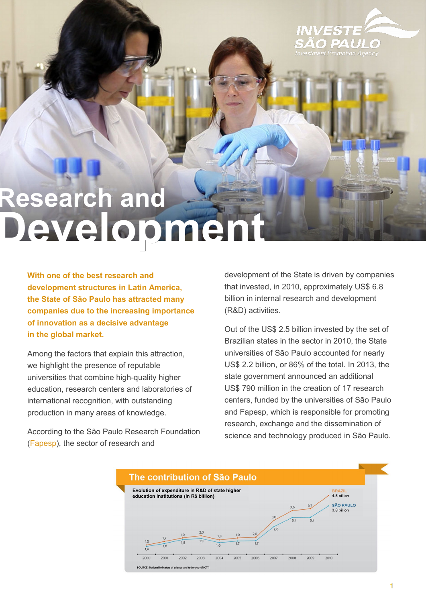

## **Research and** Developmen

**With one of the best research and development structures in Latin America, the State of São Paulo has attracted many companies due to the increasing importance of innovation as a decisive advantage in the global market.** 

Among the factors that explain this attraction, we highlight the presence of reputable universities that combine high-quality higher education, research centers and laboratories of international recognition, with outstanding production in many areas of knowledge.

According to the São Paulo Research Foundation ([Fapesp\)](http://www.fapesp.br), the sector of research and

development of the State is driven by companies that invested, in 2010, approximately US\$ 6.8 billion in internal research and development (R&D) activities.

Out of the US\$ 2.5 billion invested by the set of Brazilian states in the sector in 2010, the State universities of São Paulo accounted for nearly US\$ 2.2 billion, or 86% of the total. In 2013, the state government announced an additional US\$ 790 million in the creation of 17 research centers, funded by the universities of São Paulo and Fapesp, which is responsible for promoting research, exchange and the dissemination of science and technology produced in São Paulo.